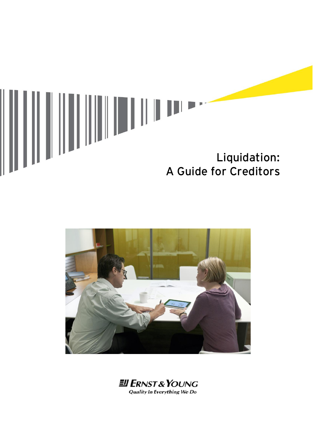



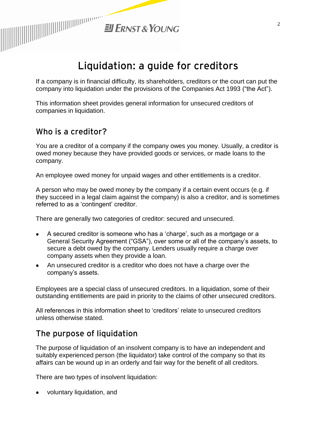

# **Liquidation: a guide for creditors**

If a company is in financial difficulty, its shareholders, creditors or the court can put the company into liquidation under the provisions of the Companies Act 1993 ("the Act").

This information sheet provides general information for unsecured creditors of companies in liquidation.

### **Who is a creditor?**

You are a creditor of a company if the company owes you money. Usually, a creditor is owed money because they have provided goods or services, or made loans to the company.

An employee owed money for unpaid wages and other entitlements is a creditor.

A person who may be owed money by the company if a certain event occurs (e.g. if they succeed in a legal claim against the company) is also a creditor, and is sometimes referred to as a 'contingent' creditor.

There are generally two categories of creditor: secured and unsecured.

- A secured creditor is someone who has a 'charge', such as a mortgage or a General Security Agreement ("GSA"), over some or all of the company's assets, to secure a debt owed by the company. Lenders usually require a charge over company assets when they provide a loan.
- An unsecured creditor is a creditor who does not have a charge over the company's assets.

Employees are a special class of unsecured creditors. In a liquidation, some of their outstanding entitlements are paid in priority to the claims of other unsecured creditors.

All references in this information sheet to 'creditors' relate to unsecured creditors unless otherwise stated.

### **The purpose of liquidation**

The purpose of liquidation of an insolvent company is to have an independent and suitably experienced person (the liquidator) take control of the company so that its affairs can be wound up in an orderly and fair way for the benefit of all creditors.

There are two types of insolvent liquidation:

voluntary liquidation, and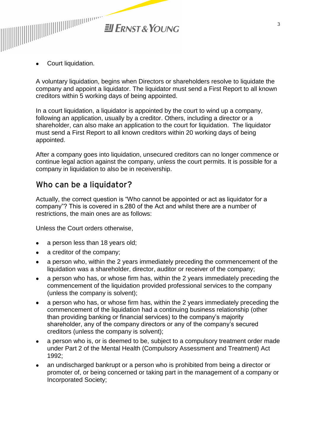

Court liquidation.

A voluntary liquidation, begins when Directors or shareholders resolve to liquidate the company and appoint a liquidator. The liquidator must send a First Report to all known creditors within 5 working days of being appointed.

In a court liquidation, a liquidator is appointed by the court to wind up a company, following an application, usually by a creditor. Others, including a director or a shareholder, can also make an application to the court for liquidation. The liquidator must send a First Report to all known creditors within 20 working days of being appointed.

After a company goes into liquidation, unsecured creditors can no longer commence or continue legal action against the company, unless the court permits. It is possible for a company in liquidation to also be in receivership.

### **Who can be a liquidator?**

Actually, the correct question is "Who cannot be appointed or act as liquidator for a company"? This is covered in s.280 of the Act and whilst there are a number of restrictions, the main ones are as follows:

Unless the Court orders otherwise,

- a person less than 18 years old;
- a creditor of the company;
- a person who, within the 2 years immediately preceding the commencement of the liquidation was a shareholder, director, auditor or receiver of the company;
- a person who has, or whose firm has, within the 2 years immediately preceding the commencement of the liquidation provided professional services to the company (unless the company is solvent);
- a person who has, or whose firm has, within the 2 years immediately preceding the commencement of the liquidation had a continuing business relationship (other than providing banking or financial services) to the company's majority shareholder, any of the company directors or any of the company's secured creditors (unless the company is solvent);
- a person who is, or is deemed to be, subject to a compulsory treatment order made under Part 2 of the Mental Health (Compulsory Assessment and Treatment) Act 1992;
- an undischarged bankrupt or a person who is prohibited from being a director or promoter of, or being concerned or taking part in the management of a company or Incorporated Society;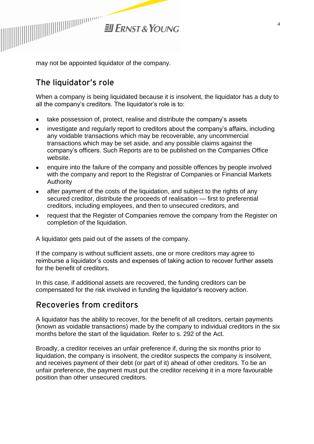

may not be appointed liquidator of the company.

## **The liquidator's role**

When a company is being liquidated because it is insolvent, the liquidator has a duty to all the company's creditors. The liquidator's role is to:

- take possession of, protect, realise and distribute the company's assets
- investigate and regularly report to creditors about the company's affairs, including any voidable transactions which may be recoverable, any uncommercial transactions which may be set aside, and any possible claims against the company's officers. Such Reports are to be published on the Companies Office website.
- enquire into the failure of the company and possible offences by people involved  $\bullet$ with the company and report to the Registrar of Companies or Financial Markets Authority
- after payment of the costs of the liquidation, and subject to the rights of any  $\bullet$ secured creditor, distribute the proceeds of realisation — first to preferential creditors, including employees, and then to unsecured creditors, and
- request that the Register of Companies remove the company from the Register on completion of the liquidation.

A liquidator gets paid out of the assets of the company.

If the company is without sufficient assets, one or more creditors may agree to reimburse a liquidator's costs and expenses of taking action to recover further assets for the benefit of creditors.

In this case, if additional assets are recovered, the funding creditors can be compensated for the risk involved in funding the liquidator's recovery action.

#### **Recoveries from creditors**

A liquidator has the ability to recover, for the benefit of all creditors, certain payments (known as voidable transactions) made by the company to individual creditors in the six months before the start of the liquidation. Refer to s. 292 of the Act.

Broadly, a creditor receives an unfair preference if, during the six months prior to liquidation, the company is insolvent, the creditor suspects the company is insolvent, and receives payment of their debt (or part of it) ahead of other creditors. To be an unfair preference, the payment must put the creditor receiving it in a more favourable position than other unsecured creditors.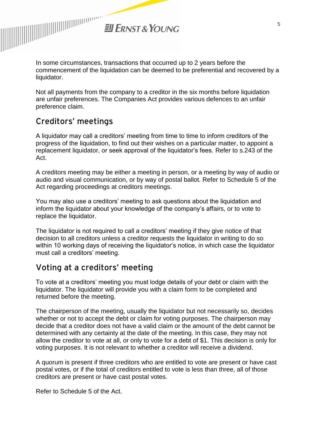**El ERNST & YOUNG** 

In some circumstances, transactions that occurred up to 2 years before the commencement of the liquidation can be deemed to be preferential and recovered by a liquidator.

Not all payments from the company to a creditor in the six months before liquidation are unfair preferences. The Companies Act provides various defences to an unfair preference claim.

### **Creditors' meetings**

A liquidator may call a creditors' meeting from time to time to inform creditors of the progress of the liquidation, to find out their wishes on a particular matter, to appoint a replacement liquidator, or seek approval of the liquidator's fees. Refer to s.243 of the Act.

A creditors meeting may be either a meeting in person, or a meeting by way of audio or audio and visual communication, or by way of postal ballot. Refer to Schedule 5 of the Act regarding proceedings at creditors meetings.

You may also use a creditors' meeting to ask questions about the liquidation and inform the liquidator about your knowledge of the company's affairs, or to vote to replace the liquidator.

The liquidator is not required to call a creditors' meeting if they give notice of that decision to all creditors unless a creditor requests the liquidator in writing to do so within 10 working days of receiving the liquidator's notice, in which case the liquidator must call a creditors' meeting.

### **Voting at a creditors' meeting**

To vote at a creditors' meeting you must lodge details of your debt or claim with the liquidator. The liquidator will provide you with a claim form to be completed and returned before the meeting.

The chairperson of the meeting, usually the liquidator but not necessarily so, decides whether or not to accept the debt or claim for voting purposes. The chairperson may decide that a creditor does not have a valid claim or the amount of the debt cannot be determined with any certainty at the date of the meeting. In this case, they may not allow the creditor to vote at all, or only to vote for a debt of \$1. This decision is only for voting purposes. It is not relevant to whether a creditor will receive a dividend.

A quorum is present if three creditors who are entitled to vote are present or have cast postal votes, or if the total of creditors entitled to vote is less than three, all of those creditors are present or have cast postal votes.

Refer to Schedule 5 of the Act.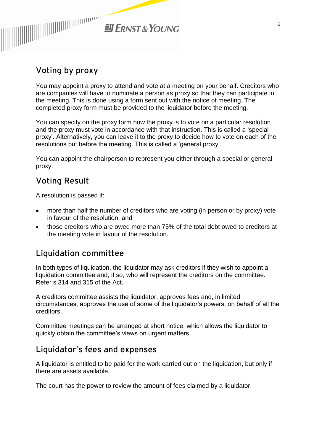

### **Voting by proxy**

You may appoint a proxy to attend and vote at a meeting on your behalf. Creditors who are companies will have to nominate a person as proxy so that they can participate in the meeting. This is done using a form sent out with the notice of meeting. The completed proxy form must be provided to the liquidator before the meeting.

You can specify on the proxy form how the proxy is to vote on a particular resolution and the proxy must vote in accordance with that instruction. This is called a 'special proxy'. Alternatively, you can leave it to the proxy to decide how to vote on each of the resolutions put before the meeting. This is called a 'general proxy'.

You can appoint the chairperson to represent you either through a special or general proxy.

### **Voting Result**

A resolution is passed if:

- more than half the number of creditors who are voting (in person or by proxy) vote in favour of the resolution, and
- those creditors who are owed more than 75% of the total debt owed to creditors at the meeting vote in favour of the resolution.

### **Liquidation committee**

In both types of liquidation, the liquidator may ask creditors if they wish to appoint a liquidation committee and, if so, who will represent the creditors on the committee. Refer s.314 and 315 of the Act.

A creditors committee assists the liquidator, approves fees and, in limited circumstances, approves the use of some of the liquidator's powers, on behalf of all the creditors.

Committee meetings can be arranged at short notice, which allows the liquidator to quickly obtain the committee's views on urgent matters.

## **Liquidator's fees and expenses**

A liquidator is entitled to be paid for the work carried out on the liquidation, but only if there are assets available.

The court has the power to review the amount of fees claimed by a liquidator.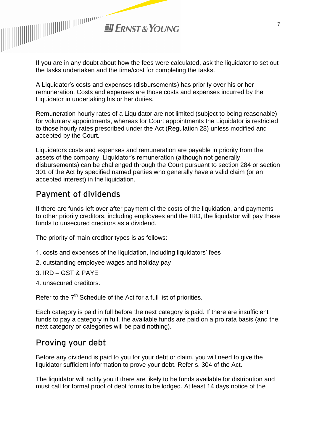

If you are in any doubt about how the fees were calculated, ask the liquidator to set out the tasks undertaken and the time/cost for completing the tasks.

A Liquidator's costs and expenses (disbursements) has priority over his or her remuneration. Costs and expenses are those costs and expenses incurred by the Liquidator in undertaking his or her duties.

Remuneration hourly rates of a Liquidator are not limited (subject to being reasonable) for voluntary appointments, whereas for Court appointments the Liquidator is restricted to those hourly rates prescribed under the Act (Regulation 28) unless modified and accepted by the Court.

Liquidators costs and expenses and remuneration are payable in priority from the assets of the company. Liquidator's remuneration (although not generally disbursements) can be challenged through the Court pursuant to section 284 or section 301 of the Act by specified named parties who generally have a valid claim (or an accepted interest) in the liquidation.

### **Payment of dividends**

If there are funds left over after payment of the costs of the liquidation, and payments to other priority creditors, including employees and the IRD, the liquidator will pay these funds to unsecured creditors as a dividend.

The priority of main creditor types is as follows:

- 1. costs and expenses of the liquidation, including liquidators' fees
- 2. outstanding employee wages and holiday pay
- 3. IRD GST & PAYE
- 4. unsecured creditors.

Refer to the  $7<sup>th</sup>$  Schedule of the Act for a full list of priorities.

Each category is paid in full before the next category is paid. If there are insufficient funds to pay a category in full, the available funds are paid on a pro rata basis (and the next category or categories will be paid nothing).

## **Proving your debt**

Before any dividend is paid to you for your debt or claim, you will need to give the liquidator sufficient information to prove your debt. Refer s. 304 of the Act.

The liquidator will notify you if there are likely to be funds available for distribution and must call for formal proof of debt forms to be lodged. At least 14 days notice of the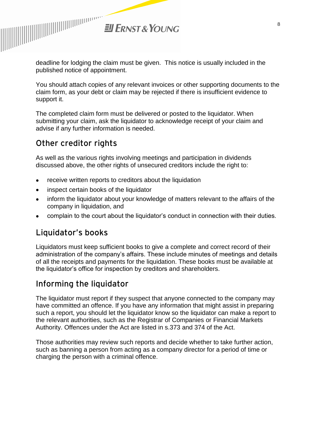

deadline for lodging the claim must be given. This notice is usually included in the published notice of appointment.

You should attach copies of any relevant invoices or other supporting documents to the claim form, as your debt or claim may be rejected if there is insufficient evidence to support it.

The completed claim form must be delivered or posted to the liquidator. When submitting your claim, ask the liquidator to acknowledge receipt of your claim and advise if any further information is needed.

### **Other creditor rights**

As well as the various rights involving meetings and participation in dividends discussed above, the other rights of unsecured creditors include the right to:

- receive written reports to creditors about the liquidation
- inspect certain books of the liquidator
- inform the liquidator about your knowledge of matters relevant to the affairs of the company in liquidation, and
- complain to the court about the liquidator's conduct in connection with their duties.

### **Liquidator's books**

Liquidators must keep sufficient books to give a complete and correct record of their administration of the company's affairs. These include minutes of meetings and details of all the receipts and payments for the liquidation. These books must be available at the liquidator's office for inspection by creditors and shareholders.

## **Informing the liquidator**

The liquidator must report if they suspect that anyone connected to the company may have committed an offence. If you have any information that might assist in preparing such a report, you should let the liquidator know so the liquidator can make a report to the relevant authorities, such as the Registrar of Companies or Financial Markets Authority. Offences under the Act are listed in s.373 and 374 of the Act.

Those authorities may review such reports and decide whether to take further action, such as banning a person from acting as a company director for a period of time or charging the person with a criminal offence.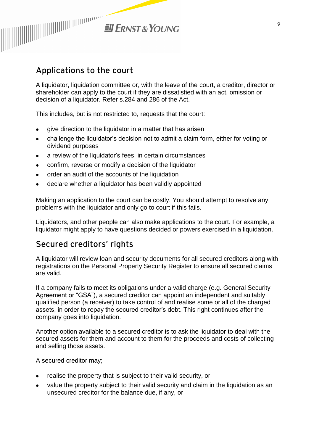

### **Applications to the court**

A liquidator, liquidation committee or, with the leave of the court, a creditor, director or shareholder can apply to the court if they are dissatisfied with an act, omission or decision of a liquidator. Refer s.284 and 286 of the Act.

This includes, but is not restricted to, requests that the court:

- give direction to the liquidator in a matter that has arisen
- challenge the liquidator's decision not to admit a claim form, either for voting or dividend purposes
- a review of the liquidator's fees, in certain circumstances
- confirm, reverse or modify a decision of the liquidator
- order an audit of the accounts of the liquidation
- declare whether a liquidator has been validly appointed

Making an application to the court can be costly. You should attempt to resolve any problems with the liquidator and only go to court if this fails.

Liquidators, and other people can also make applications to the court. For example, a liquidator might apply to have questions decided or powers exercised in a liquidation.

#### **Secured creditors' rights**

A liquidator will review loan and security documents for all secured creditors along with registrations on the Personal Property Security Register to ensure all secured claims are valid.

If a company fails to meet its obligations under a valid charge (e.g. General Security Agreement or "GSA"), a secured creditor can appoint an independent and suitably qualified person (a receiver) to take control of and realise some or all of the charged assets, in order to repay the secured creditor's debt. This right continues after the company goes into liquidation.

Another option available to a secured creditor is to ask the liquidator to deal with the secured assets for them and account to them for the proceeds and costs of collecting and selling those assets.

A secured creditor may;

- realise the property that is subject to their valid security, or
- value the property subject to their valid security and claim in the liquidation as an unsecured creditor for the balance due, if any, or